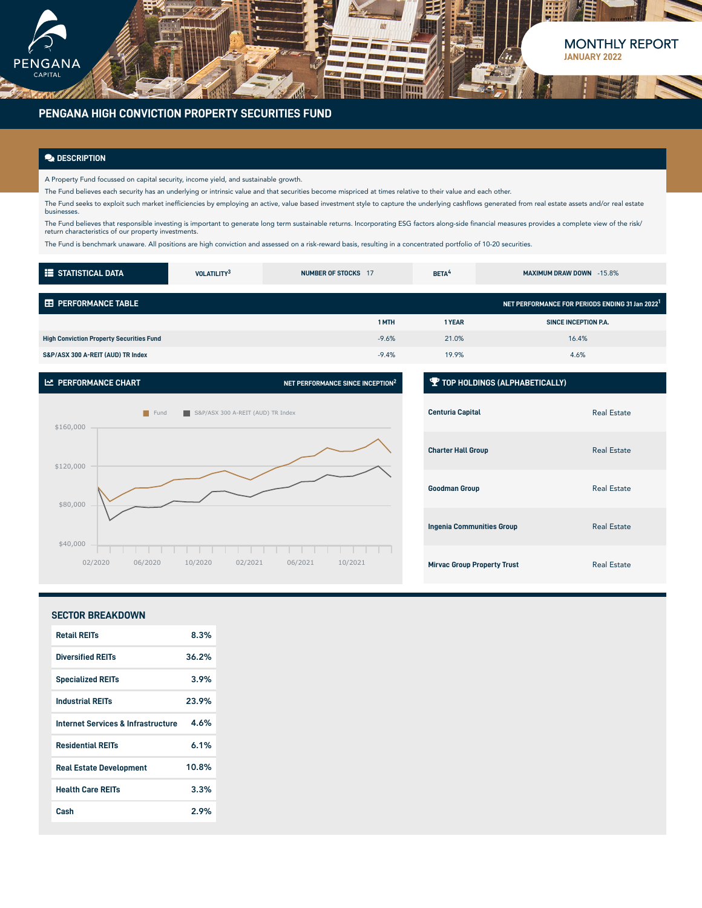

**AKA** 

## **PENGANA HIGH CONVICTION PROPERTY SECURITIES FUND**

### **DESCRIPTION**

A Property Fund focussed on capital security, income yield, and sustainable growth.

The Fund believes each security has an underlying or intrinsic value and that securities become mispriced at times relative to their value and each other.

The Fund seeks to exploit such market inefficiencies by employing an active, value based investment style to capture the underlying cashflows generated from real estate assets and/or real estate businesses.

mm

The Fund believes that responsible investing is important to generate long term sustainable returns. Incorporating ESG factors along-side financial measures provides a complete view of the risk/ return characteristics of our property investments.

The Fund is benchmark unaware. All positions are high conviction and assessed on a risk-reward basis, resulting in a concentrated portfolio of 10-20 securities.

| <b>E</b> STATISTICAL DATA                       | VOLATILITY <sup>3</sup> | NUMBER OF STOCKS 17 | BETA <sup>4</sup> | <b>MAXIMUM DRAW DOWN</b> -15.8%                             |
|-------------------------------------------------|-------------------------|---------------------|-------------------|-------------------------------------------------------------|
| <b>ED PERFORMANCE TABLE</b>                     |                         |                     |                   | NET PERFORMANCE FOR PERIODS ENDING 31 Jan 2022 <sup>1</sup> |
|                                                 |                         | 1 MTH               | 1 YEAR            | SINCE INCEPTION P.A.                                        |
| <b>High Conviction Property Securities Fund</b> |                         | $-9.6%$             | 21.0%             | 16.4%                                                       |
| S&P/ASX 300 A-REIT (AUD) TR Index               |                         | $-9.4%$             | 19.9%             | 4.6%                                                        |



| TOP HOLDINGS (ALPHABETICALLY)      |                    |  |  |  |
|------------------------------------|--------------------|--|--|--|
| <b>Centuria Capital</b>            | <b>Real Estate</b> |  |  |  |
| <b>Charter Hall Group</b>          | <b>Real Estate</b> |  |  |  |
| <b>Goodman Group</b>               | <b>Real Estate</b> |  |  |  |
| <b>Ingenia Communities Group</b>   | <b>Real Estate</b> |  |  |  |
| <b>Mirvac Group Property Trust</b> | <b>Real Estate</b> |  |  |  |

MONTHLY REPORT

**JANUARY 2022**

## **SECTOR BREAKDOWN**

| <b>Retail REITs</b>                           | 8.3%  |
|-----------------------------------------------|-------|
| <b>Diversified REITs</b>                      | 36.2% |
| <b>Specialized REITs</b>                      | 3.9%  |
| <b>Industrial REITs</b>                       | 23.9% |
| <b>Internet Services &amp; Infrastructure</b> | 4.6%  |
| <b>Residential REITs</b>                      | 6.1%  |
| <b>Real Estate Development</b>                | 10.8% |
| <b>Health Care REITs</b>                      | 3.3%  |
| Cash                                          | 2.9%  |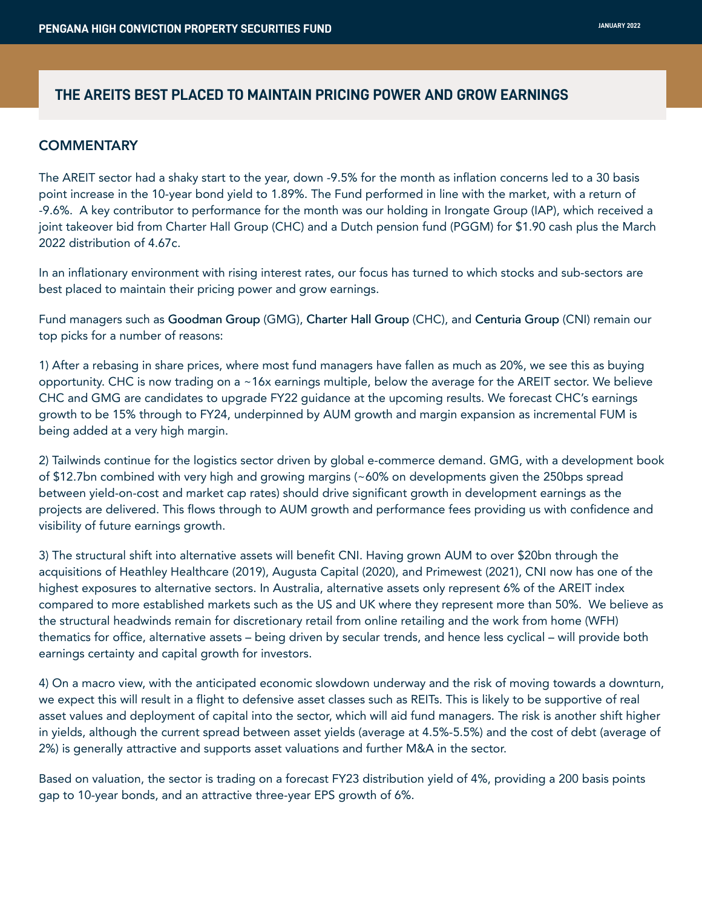# **THE AREITS BEST PLACED TO MAINTAIN PRICING POWER AND GROW EARNINGS**

## **COMMENTARY**

The AREIT sector had a shaky start to the year, down -9.5% for the month as inflation concerns led to a 30 basis point increase in the 10-year bond yield to 1.89%. The Fund performed in line with the market, with a return of -9.6%. A key contributor to performance for the month was our holding in Irongate Group (IAP), which received a joint takeover bid from Charter Hall Group (CHC) and a Dutch pension fund (PGGM) for \$1.90 cash plus the March 2022 distribution of 4.67c.

In an inflationary environment with rising interest rates, our focus has turned to which stocks and sub-sectors are best placed to maintain their pricing power and grow earnings.

Fund managers such as Goodman Group (GMG), Charter Hall Group (CHC), and Centuria Group (CNI) remain our top picks for a number of reasons:

1) After a rebasing in share prices, where most fund managers have fallen as much as 20%, we see this as buying opportunity. CHC is now trading on a ~16x earnings multiple, below the average for the AREIT sector. We believe CHC and GMG are candidates to upgrade FY22 guidance at the upcoming results. We forecast CHC's earnings growth to be 15% through to FY24, underpinned by AUM growth and margin expansion as incremental FUM is being added at a very high margin.

2) Tailwinds continue for the logistics sector driven by global e-commerce demand. GMG, with a development book of \$12.7bn combined with very high and growing margins (~60% on developments given the 250bps spread between yield-on-cost and market cap rates) should drive significant growth in development earnings as the projects are delivered. This flows through to AUM growth and performance fees providing us with confidence and visibility of future earnings growth.

3) The structural shift into alternative assets will benefit CNI. Having grown AUM to over \$20bn through the acquisitions of Heathley Healthcare (2019), Augusta Capital (2020), and Primewest (2021), CNI now has one of the highest exposures to alternative sectors. In Australia, alternative assets only represent 6% of the AREIT index compared to more established markets such as the US and UK where they represent more than 50%. We believe as the structural headwinds remain for discretionary retail from online retailing and the work from home (WFH) thematics for office, alternative assets – being driven by secular trends, and hence less cyclical – will provide both earnings certainty and capital growth for investors.

4) On a macro view, with the anticipated economic slowdown underway and the risk of moving towards a downturn, we expect this will result in a flight to defensive asset classes such as REITs. This is likely to be supportive of real asset values and deployment of capital into the sector, which will aid fund managers. The risk is another shift higher in yields, although the current spread between asset yields (average at 4.5%-5.5%) and the cost of debt (average of 2%) is generally attractive and supports asset valuations and further M&A in the sector.

Based on valuation, the sector is trading on a forecast FY23 distribution yield of 4%, providing a 200 basis points gap to 10-year bonds, and an attractive three-year EPS growth of 6%.